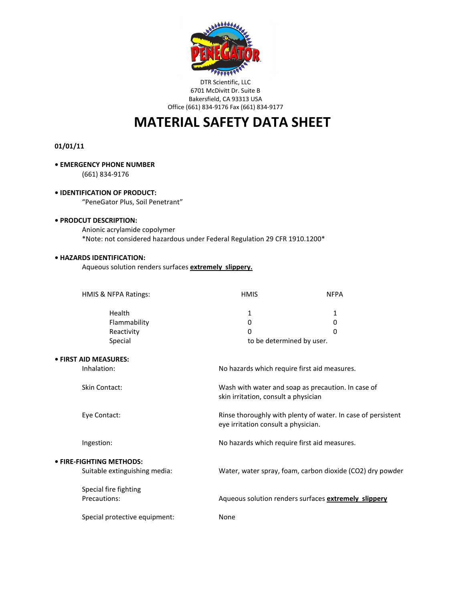

### DTR Scientific, LLC 6701 McDivitt Dr. Suite B Bakersfield, CA 93313 USA Office (661) 834-9176 Fax (661) 834-9177

# **MATERIAL SAFETY DATA SHEET**

# **01/01/11**

### **• EMERGENCY PHONE NUMBER**

(661) 834-9176

# **• IDENTIFICATION OF PRODUCT:**

"PeneGator Plus, Soil Penetrant"

# **• PRODCUT DESCRIPTION:**

Anionic acrylamide copolymer \*Note: not considered hazardous under Federal Regulation 29 CFR 1910.1200\*

# **• HAZARDS IDENTIFICATION:**

Aqueous solution renders surfaces **extremely slippery.**

| HMIS & NFPA Ratings:                                             | <b>HMIS</b>                                                                                                                                                                                       | <b>NFPA</b> |
|------------------------------------------------------------------|---------------------------------------------------------------------------------------------------------------------------------------------------------------------------------------------------|-------------|
| Health                                                           | 1                                                                                                                                                                                                 | 1           |
| Flammability                                                     | 0                                                                                                                                                                                                 | 0           |
| Reactivity                                                       | 0                                                                                                                                                                                                 | $\Omega$    |
| Special                                                          | to be determined by user.                                                                                                                                                                         |             |
| • FIRST AID MEASURES:                                            |                                                                                                                                                                                                   |             |
| Inhalation:                                                      | No hazards which require first aid measures.                                                                                                                                                      |             |
| <b>Skin Contact:</b>                                             | Wash with water and soap as precaution. In case of<br>skin irritation, consult a physician<br>Rinse thoroughly with plenty of water. In case of persistent<br>eye irritation consult a physician. |             |
| Eye Contact:                                                     |                                                                                                                                                                                                   |             |
| Ingestion:                                                       | No hazards which require first aid measures.                                                                                                                                                      |             |
| <b>• FIRE-FIGHTING METHODS:</b><br>Suitable extinguishing media: | Water, water spray, foam, carbon dioxide (CO2) dry powder                                                                                                                                         |             |
| Special fire fighting<br>Precautions:                            | Aqueous solution renders surfaces extremely slippery                                                                                                                                              |             |
| Special protective equipment:                                    | None                                                                                                                                                                                              |             |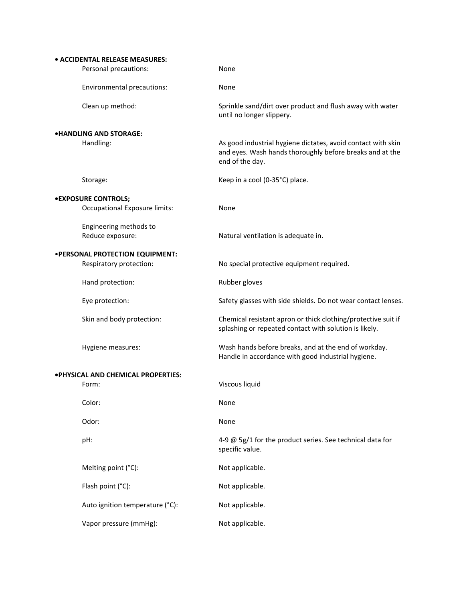|                                     | • ACCIDENTAL RELEASE MEASURES:  |                                                                                                                                             |  |  |  |
|-------------------------------------|---------------------------------|---------------------------------------------------------------------------------------------------------------------------------------------|--|--|--|
|                                     | Personal precautions:           | None                                                                                                                                        |  |  |  |
|                                     | Environmental precautions:      | None                                                                                                                                        |  |  |  |
|                                     | Clean up method:                | Sprinkle sand/dirt over product and flush away with water<br>until no longer slippery.                                                      |  |  |  |
|                                     | <b>.HANDLING AND STORAGE:</b>   |                                                                                                                                             |  |  |  |
|                                     | Handling:                       | As good industrial hygiene dictates, avoid contact with skin<br>and eyes. Wash hands thoroughly before breaks and at the<br>end of the day. |  |  |  |
|                                     | Storage:                        | Keep in a cool (0-35°C) place.                                                                                                              |  |  |  |
|                                     | <b>.EXPOSURE CONTROLS;</b>      |                                                                                                                                             |  |  |  |
|                                     | Occupational Exposure limits:   | None                                                                                                                                        |  |  |  |
|                                     | Engineering methods to          |                                                                                                                                             |  |  |  |
|                                     | Reduce exposure:                | Natural ventilation is adequate in.                                                                                                         |  |  |  |
| •PERSONAL PROTECTION EQUIPMENT:     |                                 |                                                                                                                                             |  |  |  |
|                                     | Respiratory protection:         | No special protective equipment required.                                                                                                   |  |  |  |
|                                     | Hand protection:                | Rubber gloves                                                                                                                               |  |  |  |
|                                     | Eye protection:                 | Safety glasses with side shields. Do not wear contact lenses.                                                                               |  |  |  |
|                                     | Skin and body protection:       | Chemical resistant apron or thick clothing/protective suit if<br>splashing or repeated contact with solution is likely.                     |  |  |  |
|                                     | Hygiene measures:               | Wash hands before breaks, and at the end of workday.<br>Handle in accordance with good industrial hygiene.                                  |  |  |  |
| . PHYSICAL AND CHEMICAL PROPERTIES: |                                 |                                                                                                                                             |  |  |  |
|                                     | Form:                           | Viscous liquid                                                                                                                              |  |  |  |
|                                     | Color:                          | None                                                                                                                                        |  |  |  |
|                                     | Odor:                           | None                                                                                                                                        |  |  |  |
|                                     | pH:                             | 4-9 @ 5g/1 for the product series. See technical data for<br>specific value.                                                                |  |  |  |
|                                     | Melting point (°C):             | Not applicable.                                                                                                                             |  |  |  |
|                                     | Flash point (°C):               | Not applicable.                                                                                                                             |  |  |  |
|                                     | Auto ignition temperature (°C): | Not applicable.                                                                                                                             |  |  |  |
|                                     | Vapor pressure (mmHg):          | Not applicable.                                                                                                                             |  |  |  |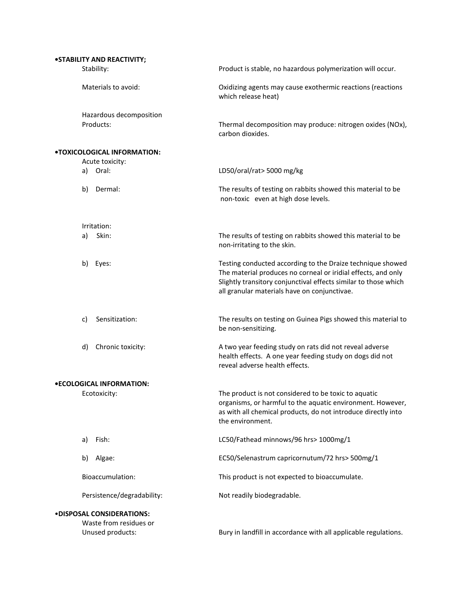| • STABILITY AND REACTIVITY;                                                    |                                                                                                                                                                                                                                                |
|--------------------------------------------------------------------------------|------------------------------------------------------------------------------------------------------------------------------------------------------------------------------------------------------------------------------------------------|
| Stability:                                                                     | Product is stable, no hazardous polymerization will occur.                                                                                                                                                                                     |
| Materials to avoid:                                                            | Oxidizing agents may cause exothermic reactions (reactions<br>which release heat)                                                                                                                                                              |
| Hazardous decomposition<br>Products:                                           | Thermal decomposition may produce: nitrogen oxides (NOx),<br>carbon dioxides.                                                                                                                                                                  |
| .TOXICOLOGICAL INFORMATION:<br>Acute toxicity:                                 |                                                                                                                                                                                                                                                |
| Oral:<br>a)                                                                    | LD50/oral/rat> 5000 mg/kg                                                                                                                                                                                                                      |
| b)<br>Dermal:                                                                  | The results of testing on rabbits showed this material to be<br>non-toxic even at high dose levels.                                                                                                                                            |
| Irritation:                                                                    |                                                                                                                                                                                                                                                |
| Skin:<br>a)                                                                    | The results of testing on rabbits showed this material to be<br>non-irritating to the skin.                                                                                                                                                    |
| Eyes:<br>b)                                                                    | Testing conducted according to the Draize technique showed<br>The material produces no corneal or iridial effects, and only<br>Slightly transitory conjunctival effects similar to those which<br>all granular materials have on conjunctivae. |
| Sensitization:<br>c)                                                           | The results on testing on Guinea Pigs showed this material to<br>be non-sensitizing.                                                                                                                                                           |
| d)<br>Chronic toxicity:                                                        | A two year feeding study on rats did not reveal adverse<br>health effects. A one year feeding study on dogs did not<br>reveal adverse health effects.                                                                                          |
| •ECOLOGICAL INFORMATION:                                                       |                                                                                                                                                                                                                                                |
| Ecotoxicity:                                                                   | The product is not considered to be toxic to aquatic<br>organisms, or harmful to the aquatic environment. However,<br>as with all chemical products, do not introduce directly into<br>the environment.                                        |
| Fish:<br>a)                                                                    | LC50/Fathead minnows/96 hrs> 1000mg/1                                                                                                                                                                                                          |
| b)<br>Algae:                                                                   | EC50/Selenastrum capricornutum/72 hrs> 500mg/1                                                                                                                                                                                                 |
| Bioaccumulation:                                                               | This product is not expected to bioaccumulate.                                                                                                                                                                                                 |
| Persistence/degradability:                                                     | Not readily biodegradable.                                                                                                                                                                                                                     |
| <b>.DISPOSAL CONSIDERATIONS:</b><br>Waste from residues or<br>Unused products: | Bury in landfill in accordance with all applicable regulations.                                                                                                                                                                                |